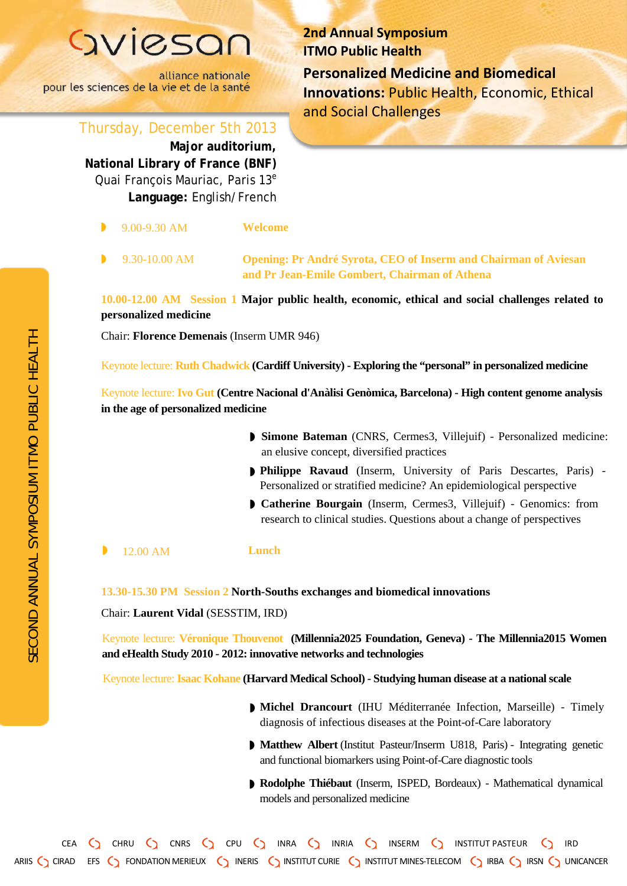## GVICSON

alliance nationale pour les sciences de la vie et de la santé **2nd Annual Symposium ITMO Public Health Personalized Medicine and Biomedical**  Innovations: Public Health, Economic, Ethical and Social Challenges

Thursday, December 5th 2013 **Major auditorium, National Library of France (BNF)** 

Quai Francois Mauriac, Paris 13<sup>e</sup> **Language :** English /French

- ◗◗ 9 .00 - 9  $W$ elcome
	- 9 .30 -10

.00 AM **Opening: Pr André Syrota, CEO of Inserm and Chairman of Aviesan and Pr Jean -Emile Gombert, Chairman of Athena**

**10 .00 -12 .00 AM Session 1 Major public health, economic, ethical and social challenges related to personalized medicine**

Chair: **Florence Demenais** (Inserm UMR 946)

Keynote lecture: **Ruth Chadwick (Cardiff University) - Exploring the "personal" in personalized medicine**

Keynote lecture: **Ivo Gut (Centre Nacional d'Anàlisi Genòmica, Barcelon a) - High content genome analysis in the age of personalized medicine**

- ◗ **Simone Bateman** (CNRS, Cermes3, Villejuif) Personalized medicine: an elusive concept, diversified practices
- **Philippe Ravaud** (Inserm, University of Paris Descartes, Paris)<br>Personalized or stratified medicine? An epidemiological perspective<br>  **Catherine Bourgain** (Inserm, Cermes3, Villejuif) Genomics: from Philippe Ravaud (Inserm, University of Paris Descartes, Paris) -Personalized or stratified medicine? An epidemiological perspective
- research to clinical studies. Questions about a change of perspectives

◗ 12 .00 AM **Lunch**

**13 .30 -15 .30 PM Session 2 North -Souths exchanges and biomedical innovations**

Chair: **Laurent Vidal**  (SESSTIM, IRD)

Keynote lecture: Véronique Thouvenot (Millennia2025 Foundation, Geneva) - The Millennia2015 Women **and eHealth Study 2010 - 2012: innovative networks and technologies**

Keynote lecture: **Isaac Kohane (Harvard Medical School) - Studying human disease at a national scale**

- **Michel Drancourt** (IHU Méditerranée Infection, Marseille) Timely diagnosis of infectious diseases at the Point -of -Care laboratory
- ◗◗◗ **Matthew Albert** (Institut Pasteur/Inserm U818, Paris) - Integrating genetic and functional biomarkers using Point -of-Care diagnostic tools
- **Rodolphe Thiébaut** (Inserm, ISPED, Bordeaux) Mathematical dynamical models and personalized medicine